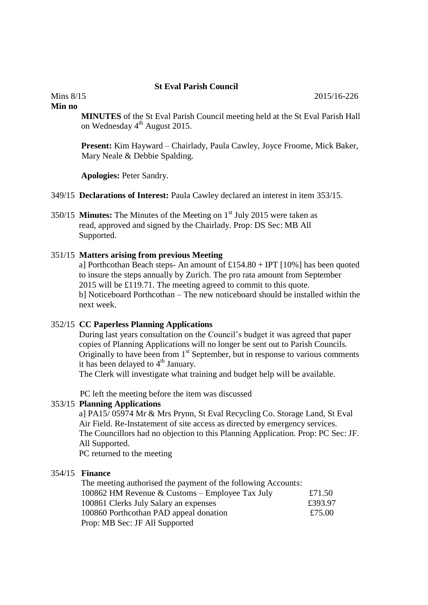# **St Eval Parish Council**

**Min no**

**MINUTES** of the St Eval Parish Council meeting held at the St Eval Parish Hall on Wednesday 4<sup>th</sup> August 2015.

**Present:** Kim Hayward – Chairlady, Paula Cawley, Joyce Froome, Mick Baker, Mary Neale & Debbie Spalding.

**Apologies:** Peter Sandry.

349/15 **Declarations of Interest:** Paula Cawley declared an interest in item 353/15.

350/15 **Minutes:** The Minutes of the Meeting on 1st July 2015 were taken as read, approved and signed by the Chairlady. Prop: DS Sec: MB All Supported.

## 351/15 **Matters arising from previous Meeting**

a] Porthcothan Beach steps- An amount of  $£154.80 + IPT$  [10%] has been quoted to insure the steps annually by Zurich. The pro rata amount from September 2015 will be £119.71. The meeting agreed to commit to this quote. b] Noticeboard Porthcothan – The new noticeboard should be installed within the next week.

### 352/15 **CC Paperless Planning Applications**

 During last years consultation on the Council's budget it was agreed that paper copies of Planning Applications will no longer be sent out to Parish Councils. Originally to have been from 1<sup>st</sup> September, but in response to various comments it has been delayed to  $4<sup>th</sup>$  January.

The Clerk will investigate what training and budget help will be available.

PC left the meeting before the item was discussed

### 353/15 **Planning Applications**

a] PA15/ 05974 Mr & Mrs Prynn, St Eval Recycling Co. Storage Land, St Eval Air Field. Re-Instatement of site access as directed by emergency services. The Councillors had no objection to this Planning Application. Prop: PC Sec: JF. All Supported.

PC returned to the meeting

# 354/15 **Finance**

| The meeting authorised the payment of the following Accounts: |         |
|---------------------------------------------------------------|---------|
| 100862 HM Revenue & Customs – Employee Tax July               | £71.50  |
| 100861 Clerks July Salary an expenses                         | £393.97 |
| 100860 Porthcothan PAD appeal donation                        | £75.00  |
| Prop: MB Sec: JF All Supported                                |         |